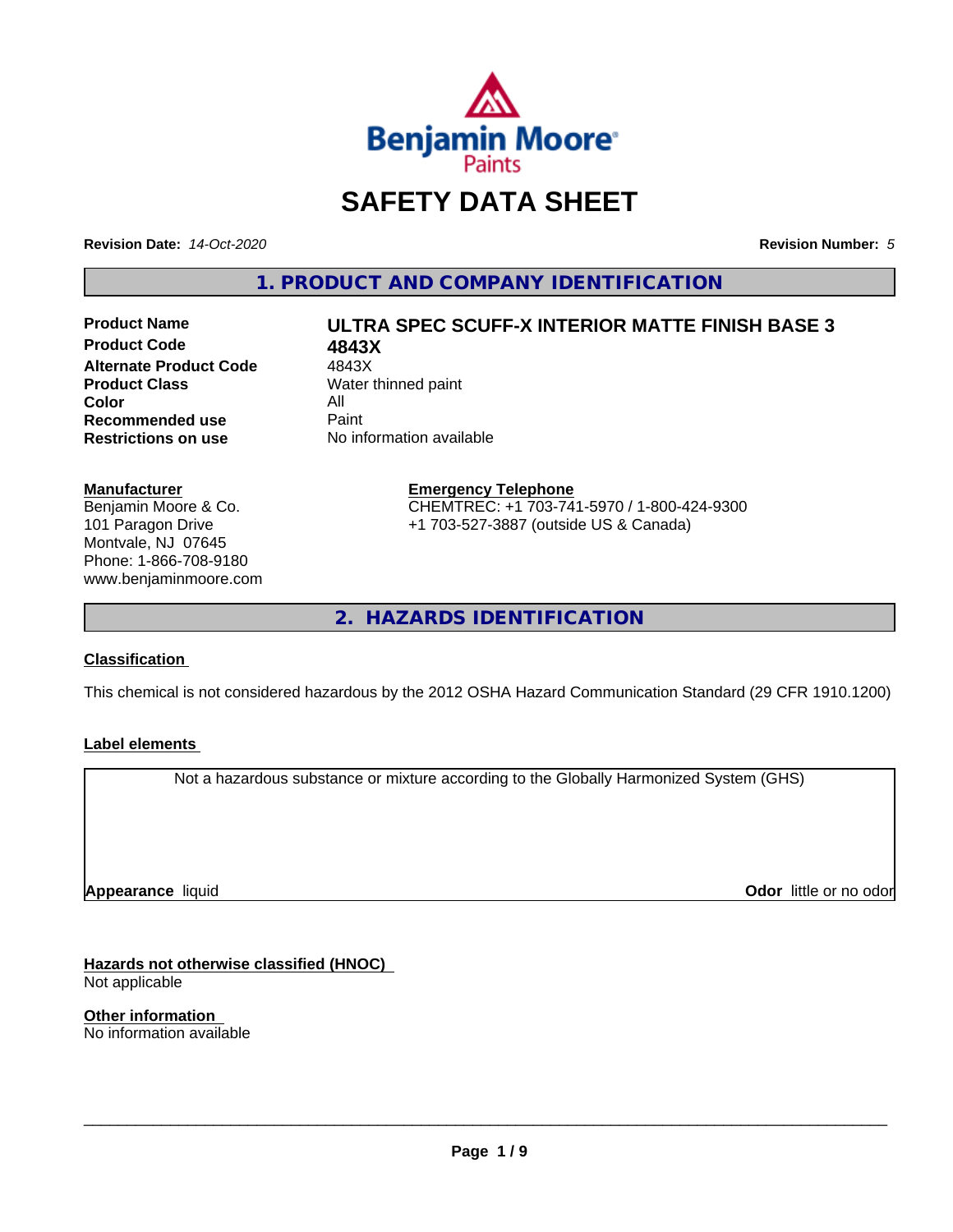

## **SAFETY DATA SHEET**

**Revision Date:** *14-Oct-2020* **Revision Number:** *5*

**1. PRODUCT AND COMPANY IDENTIFICATION**

**Product Code 6843X<br>
Alternate Product Code 4843X Alternate Product Code**<br>Product Class **Color** All<br> **Recommended use** Paint **Recommended use**<br>Restrictions on use

# **Product Name ULTRA SPEC SCUFF-X INTERIOR MATTE FINISH BASE 3**

**Water thinned paint No information available** 

#### **Manufacturer**

Benjamin Moore & Co. 101 Paragon Drive Montvale, NJ 07645 Phone: 1-866-708-9180 www.benjaminmoore.com

#### **Emergency Telephone** CHEMTREC: +1 703-741-5970 / 1-800-424-9300 +1 703-527-3887 (outside US & Canada)

**2. HAZARDS IDENTIFICATION**

#### **Classification**

This chemical is not considered hazardous by the 2012 OSHA Hazard Communication Standard (29 CFR 1910.1200)

#### **Label elements**

Not a hazardous substance or mixture according to the Globally Harmonized System (GHS)

**Appearance** liquid

**Odor** little or no odor

**Hazards not otherwise classified (HNOC)** Not applicable

**Other information** No information available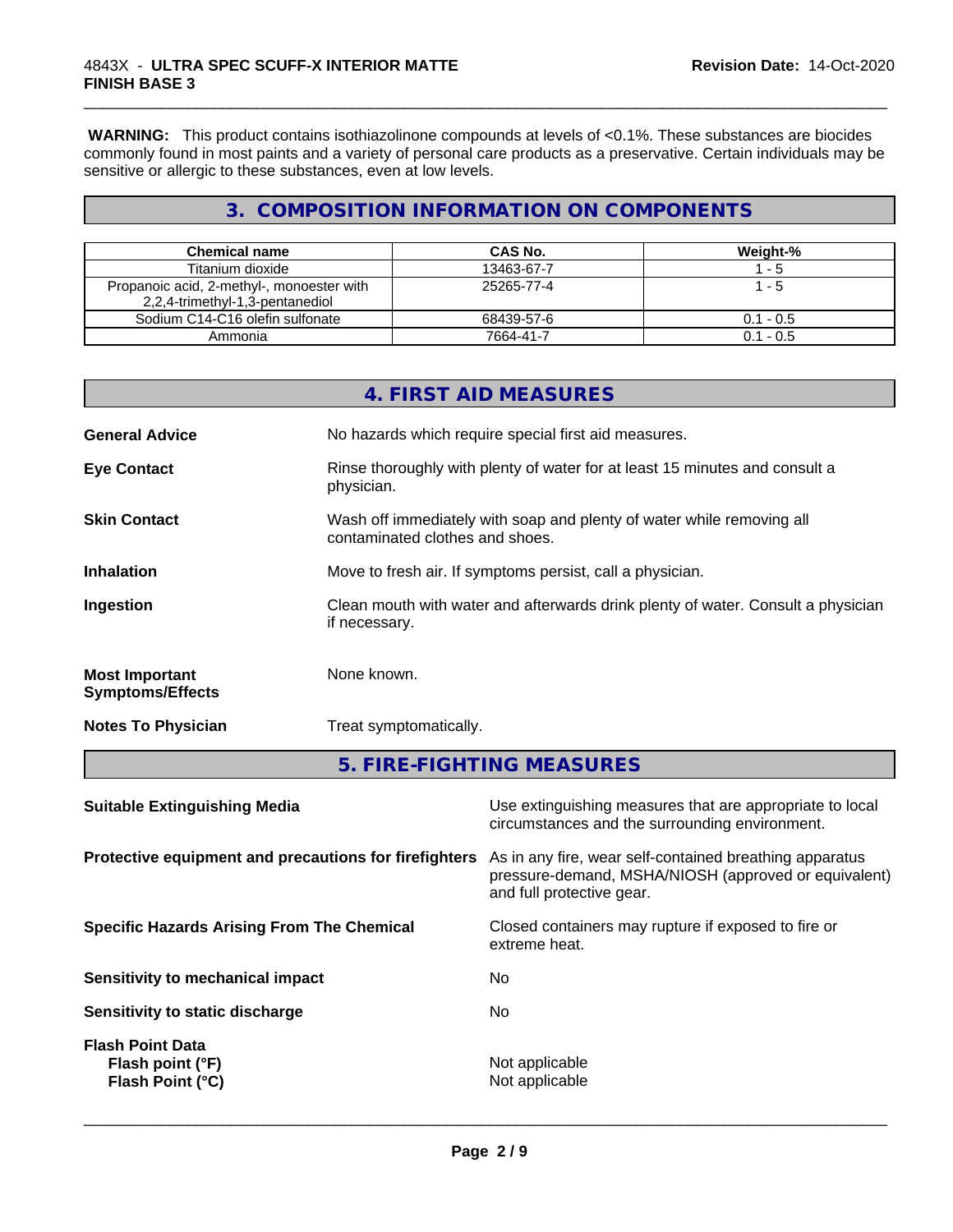**WARNING:** This product contains isothiazolinone compounds at levels of <0.1%. These substances are biocides commonly found in most paints and a variety of personal care products as a preservative. Certain individuals may be sensitive or allergic to these substances, even at low levels.

\_\_\_\_\_\_\_\_\_\_\_\_\_\_\_\_\_\_\_\_\_\_\_\_\_\_\_\_\_\_\_\_\_\_\_\_\_\_\_\_\_\_\_\_\_\_\_\_\_\_\_\_\_\_\_\_\_\_\_\_\_\_\_\_\_\_\_\_\_\_\_\_\_\_\_\_\_\_\_\_\_\_\_\_\_\_\_\_\_\_\_\_\_

## **3. COMPOSITION INFORMATION ON COMPONENTS**

| Chemical name                                                                | CAS No.    | Weight-%    |
|------------------------------------------------------------------------------|------------|-------------|
| Titanium dioxide                                                             | 13463-67-7 | - 5         |
| Propanoic acid, 2-methyl-, monoester with<br>2,2,4-trimethyl-1,3-pentanediol | 25265-77-4 | - 5         |
| Sodium C14-C16 olefin sulfonate                                              | 68439-57-6 | $0.1 - 0.5$ |
| Ammonia                                                                      | 7664-41-7  | $0.1 - 0.5$ |

| Use extinguishing measures that are appropriate to local                                                 |  |
|----------------------------------------------------------------------------------------------------------|--|
| 5. FIRE-FIGHTING MEASURES                                                                                |  |
| Treat symptomatically.                                                                                   |  |
| None known.                                                                                              |  |
| Clean mouth with water and afterwards drink plenty of water. Consult a physician<br>if necessary.        |  |
| Move to fresh air. If symptoms persist, call a physician.                                                |  |
| Wash off immediately with soap and plenty of water while removing all<br>contaminated clothes and shoes. |  |
| Rinse thoroughly with plenty of water for at least 15 minutes and consult a<br>physician.                |  |
| No hazards which require special first aid measures.                                                     |  |
| 4. FIRST AID MEASURES                                                                                    |  |
|                                                                                                          |  |

|                                                                 | circumstances and the surrounding environment.                                                                                               |
|-----------------------------------------------------------------|----------------------------------------------------------------------------------------------------------------------------------------------|
| Protective equipment and precautions for firefighters           | As in any fire, wear self-contained breathing apparatus<br>pressure-demand, MSHA/NIOSH (approved or equivalent)<br>and full protective gear. |
| <b>Specific Hazards Arising From The Chemical</b>               | Closed containers may rupture if exposed to fire or<br>extreme heat.                                                                         |
| Sensitivity to mechanical impact                                | No.                                                                                                                                          |
| Sensitivity to static discharge                                 | No.                                                                                                                                          |
| <b>Flash Point Data</b><br>Flash point (°F)<br>Flash Point (°C) | Not applicable<br>Not applicable                                                                                                             |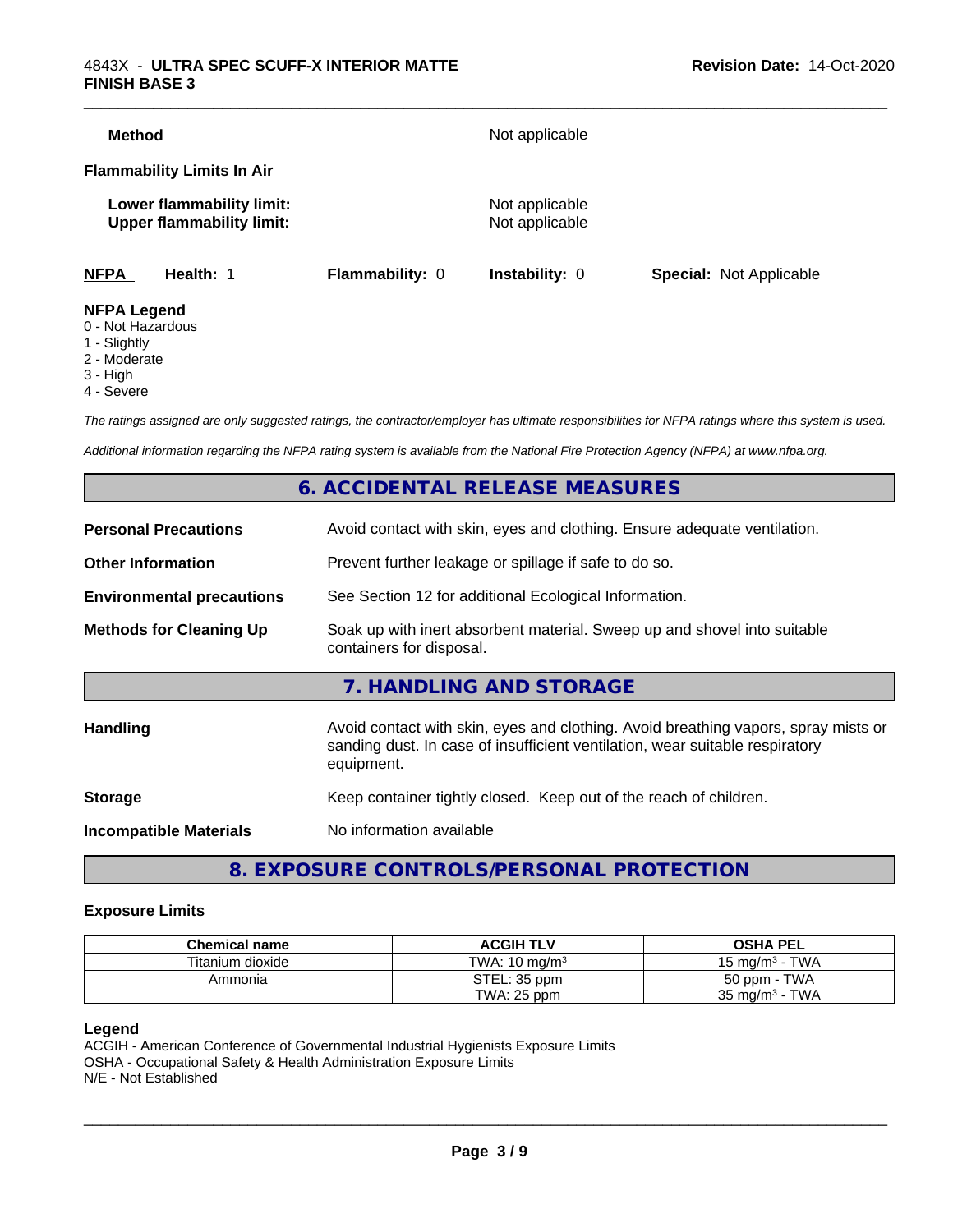| <b>Method</b>                           |                                                               |                 | Not applicable                   |                                |
|-----------------------------------------|---------------------------------------------------------------|-----------------|----------------------------------|--------------------------------|
|                                         | <b>Flammability Limits In Air</b>                             |                 |                                  |                                |
|                                         | Lower flammability limit:<br><b>Upper flammability limit:</b> |                 | Not applicable<br>Not applicable |                                |
| <b>NFPA</b>                             | Health: 1                                                     | Flammability: 0 | <b>Instability: 0</b>            | <b>Special: Not Applicable</b> |
| <b>NFPA Legend</b><br>0 - Not Hazardous |                                                               |                 |                                  |                                |

- 1 Slightly
- 2 Moderate
- 3 High
- 4 Severe
- 

*The ratings assigned are only suggested ratings, the contractor/employer has ultimate responsibilities for NFPA ratings where this system is used.*

*Additional information regarding the NFPA rating system is available from the National Fire Protection Agency (NFPA) at www.nfpa.org.*

## **6. ACCIDENTAL RELEASE MEASURES**

| <b>Personal Precautions</b>      | Avoid contact with skin, eyes and clothing. Ensure adequate ventilation.                                                                                                         |
|----------------------------------|----------------------------------------------------------------------------------------------------------------------------------------------------------------------------------|
| <b>Other Information</b>         | Prevent further leakage or spillage if safe to do so.                                                                                                                            |
| <b>Environmental precautions</b> | See Section 12 for additional Ecological Information.                                                                                                                            |
| <b>Methods for Cleaning Up</b>   | Soak up with inert absorbent material. Sweep up and shovel into suitable<br>containers for disposal.                                                                             |
|                                  | 7. HANDLING AND STORAGE                                                                                                                                                          |
| Handling                         | Avoid contact with skin, eyes and clothing. Avoid breathing vapors, spray mists or<br>sanding dust. In case of insufficient ventilation, wear suitable respiratory<br>equipment. |
| <b>Storage</b>                   | Keep container tightly closed. Keep out of the reach of children.                                                                                                                |
| <b>Incompatible Materials</b>    | No information available                                                                                                                                                         |
|                                  |                                                                                                                                                                                  |

## **8. EXPOSURE CONTROLS/PERSONAL PROTECTION**

#### **Exposure Limits**

| <b>Chemical name</b> | <b>ACGIH TLV</b>         | <b>OSHA PEL</b>           |
|----------------------|--------------------------|---------------------------|
| Titanium dioxide     | TWA: $10 \text{ ma/m}^3$ | 15 mg/m $3$ - TWA         |
| Ammonia              | STEL: 35 ppm             | 50 ppm - TWA              |
|                      | TWA: 25 ppm              | $35 \text{ mg/m}^3$ - TWA |

#### **Legend**

ACGIH - American Conference of Governmental Industrial Hygienists Exposure Limits OSHA - Occupational Safety & Health Administration Exposure Limits N/E - Not Established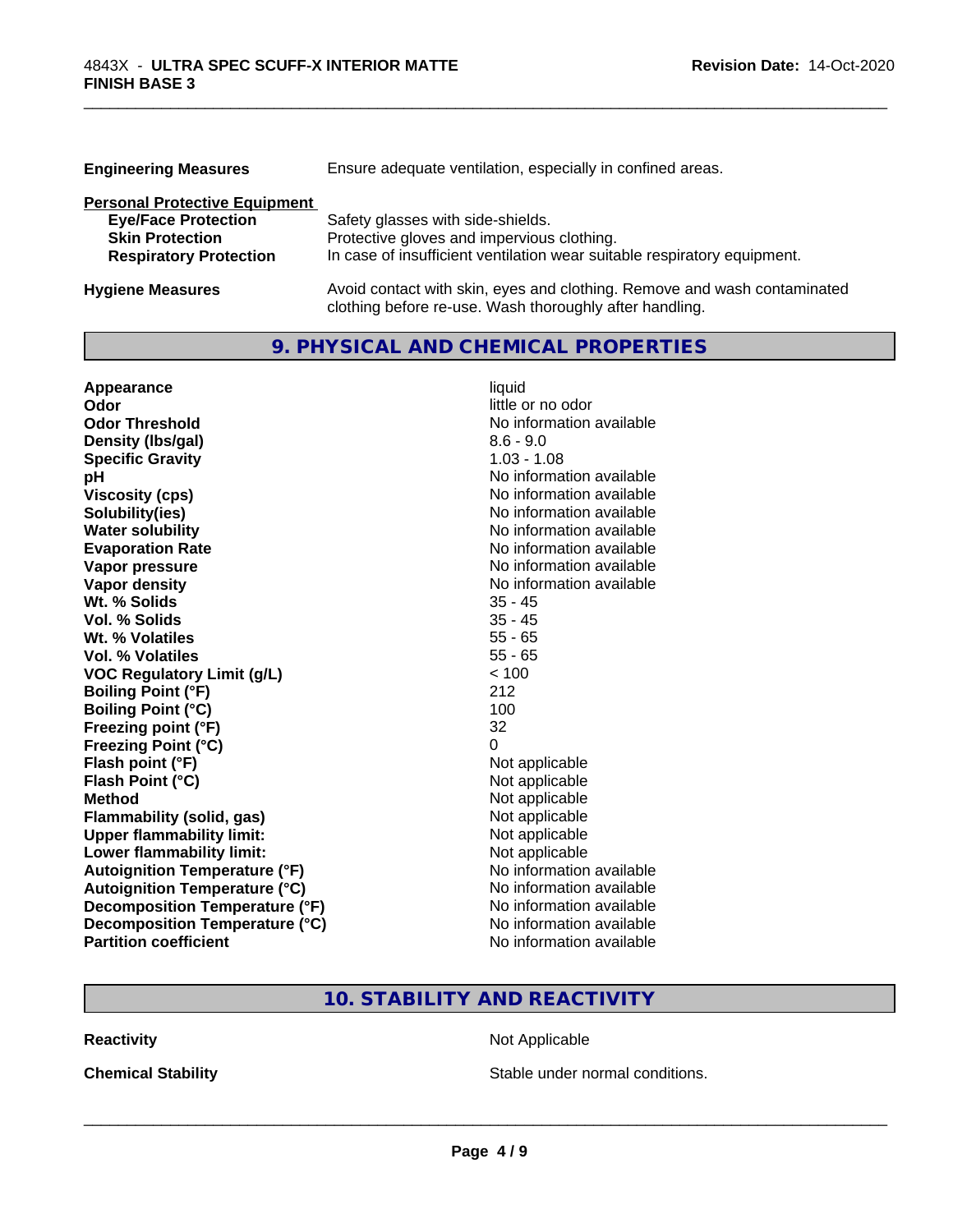| <b>Engineering Measures</b>          | Ensure adequate ventilation, especially in confined areas.               |
|--------------------------------------|--------------------------------------------------------------------------|
| <b>Personal Protective Equipment</b> |                                                                          |
| <b>Eye/Face Protection</b>           | Safety glasses with side-shields.                                        |
| <b>Skin Protection</b>               | Protective gloves and impervious clothing.                               |
| <b>Respiratory Protection</b>        | In case of insufficient ventilation wear suitable respiratory equipment. |
| <b>Hygiene Measures</b>              | Avoid contact with skin, eyes and clothing. Remove and wash contaminated |

clothing before re-use. Wash thoroughly after handling.

\_\_\_\_\_\_\_\_\_\_\_\_\_\_\_\_\_\_\_\_\_\_\_\_\_\_\_\_\_\_\_\_\_\_\_\_\_\_\_\_\_\_\_\_\_\_\_\_\_\_\_\_\_\_\_\_\_\_\_\_\_\_\_\_\_\_\_\_\_\_\_\_\_\_\_\_\_\_\_\_\_\_\_\_\_\_\_\_\_\_\_\_\_

## **9. PHYSICAL AND CHEMICAL PROPERTIES**

| Appearance                           | liquid                   |
|--------------------------------------|--------------------------|
| Odor                                 | little or no odor        |
| <b>Odor Threshold</b>                | No information available |
| Density (Ibs/gal)                    | $8.6 - 9.0$              |
| <b>Specific Gravity</b>              | $1.03 - 1.08$            |
| pH                                   | No information available |
| <b>Viscosity (cps)</b>               | No information available |
| Solubility(ies)                      | No information available |
| <b>Water solubility</b>              | No information available |
| <b>Evaporation Rate</b>              | No information available |
| Vapor pressure                       | No information available |
| <b>Vapor density</b>                 | No information available |
| Wt. % Solids                         | $35 - 45$                |
| Vol. % Solids                        | $35 - 45$                |
| Wt. % Volatiles                      | $55 - 65$                |
| Vol. % Volatiles                     | $55 - 65$                |
| <b>VOC Regulatory Limit (g/L)</b>    | < 100                    |
| <b>Boiling Point (°F)</b>            | 212                      |
| <b>Boiling Point (°C)</b>            | 100                      |
| Freezing point (°F)                  | 32                       |
| <b>Freezing Point (°C)</b>           | 0                        |
| Flash point (°F)                     | Not applicable           |
| Flash Point (°C)                     | Not applicable           |
| <b>Method</b>                        | Not applicable           |
| Flammability (solid, gas)            | Not applicable           |
| <b>Upper flammability limit:</b>     | Not applicable           |
| Lower flammability limit:            | Not applicable           |
| <b>Autoignition Temperature (°F)</b> | No information available |
| <b>Autoignition Temperature (°C)</b> | No information available |
| Decomposition Temperature (°F)       | No information available |
| Decomposition Temperature (°C)       | No information available |
| <b>Partition coefficient</b>         | No information available |

## **10. STABILITY AND REACTIVITY**

**Reactivity Not Applicable** Not Applicable

**Chemical Stability Chemical Stability** Stable under normal conditions.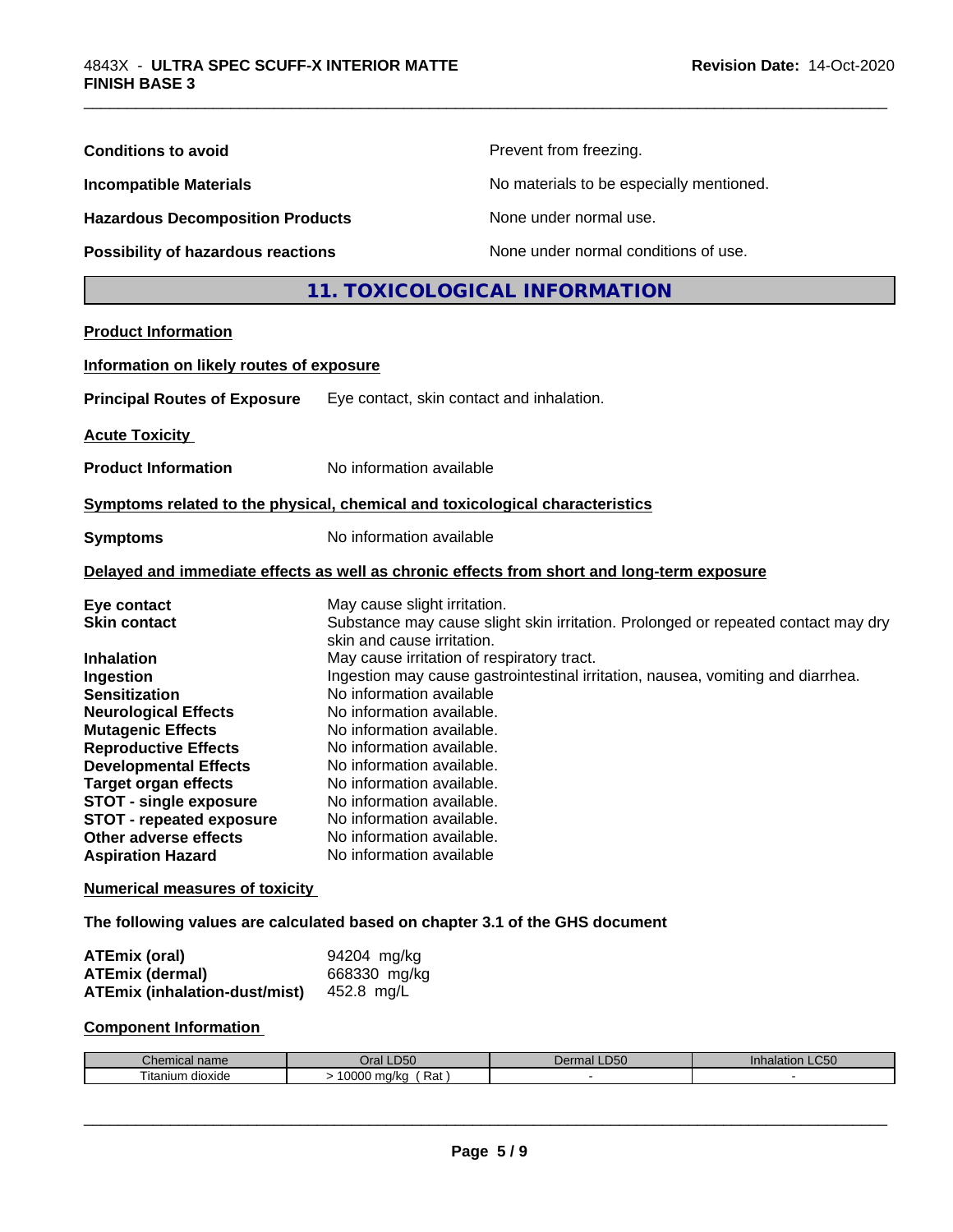| <b>Conditions to avoid</b>                                                   |                                                        | Prevent from freezing.                                                                     |
|------------------------------------------------------------------------------|--------------------------------------------------------|--------------------------------------------------------------------------------------------|
| <b>Incompatible Materials</b>                                                |                                                        | No materials to be especially mentioned.                                                   |
| <b>Hazardous Decomposition Products</b>                                      |                                                        | None under normal use.                                                                     |
| Possibility of hazardous reactions                                           |                                                        | None under normal conditions of use.                                                       |
|                                                                              |                                                        | <b>11. TOXICOLOGICAL INFORMATION</b>                                                       |
| <b>Product Information</b>                                                   |                                                        |                                                                                            |
|                                                                              |                                                        |                                                                                            |
| Information on likely routes of exposure                                     |                                                        |                                                                                            |
| <b>Principal Routes of Exposure</b>                                          | Eye contact, skin contact and inhalation.              |                                                                                            |
| <b>Acute Toxicity</b>                                                        |                                                        |                                                                                            |
| <b>Product Information</b>                                                   | No information available                               |                                                                                            |
| Symptoms related to the physical, chemical and toxicological characteristics |                                                        |                                                                                            |
| <b>Symptoms</b>                                                              | No information available                               |                                                                                            |
|                                                                              |                                                        | Delayed and immediate effects as well as chronic effects from short and long-term exposure |
| Eye contact                                                                  | May cause slight irritation.                           |                                                                                            |
| <b>Skin contact</b>                                                          | skin and cause irritation.                             | Substance may cause slight skin irritation. Prolonged or repeated contact may dry          |
| <b>Inhalation</b>                                                            | May cause irritation of respiratory tract.             |                                                                                            |
| Ingestion                                                                    |                                                        | Ingestion may cause gastrointestinal irritation, nausea, vomiting and diarrhea.            |
| <b>Sensitization</b><br><b>Neurological Effects</b>                          | No information available<br>No information available.  |                                                                                            |
| <b>Mutagenic Effects</b>                                                     | No information available.                              |                                                                                            |
| <b>Reproductive Effects</b>                                                  | No information available.                              |                                                                                            |
| <b>Developmental Effects</b>                                                 | No information available.                              |                                                                                            |
| <b>Target organ effects</b>                                                  | No information available.                              |                                                                                            |
| STOT - single exposure<br>STOT - repeated exposure                           | No information available.<br>No information available. |                                                                                            |
| Other adverse effects                                                        | No information available.                              |                                                                                            |
| <b>Aspiration Hazard</b>                                                     | No information available                               |                                                                                            |
| <b>Numerical measures of toxicity</b>                                        |                                                        |                                                                                            |
| The following values are calculated based on chapter 3.1 of the GHS document |                                                        |                                                                                            |
| <b>ATEmix (oral)</b>                                                         | 94204 mg/kg                                            |                                                                                            |
| <b>ATEmix (dermal)</b><br><b>ATEmix (inhalation-dust/mist)</b>               | 668330 mg/kg<br>452.8 mg/L                             |                                                                                            |
| <b>Component Information</b>                                                 |                                                        |                                                                                            |

\_\_\_\_\_\_\_\_\_\_\_\_\_\_\_\_\_\_\_\_\_\_\_\_\_\_\_\_\_\_\_\_\_\_\_\_\_\_\_\_\_\_\_\_\_\_\_\_\_\_\_\_\_\_\_\_\_\_\_\_\_\_\_\_\_\_\_\_\_\_\_\_\_\_\_\_\_\_\_\_\_\_\_\_\_\_\_\_\_\_\_\_\_

| <b>Themical name</b>              | $_D50$                     | <b>LD50</b> | LC <sub>50</sub> |
|-----------------------------------|----------------------------|-------------|------------------|
|                                   | )ral                       | Dermal      | Inhalation       |
| $- \cdot$ .<br>dioxide<br>itanium | 0000<br>⋻∼<br>ma/ka<br>Ral |             |                  |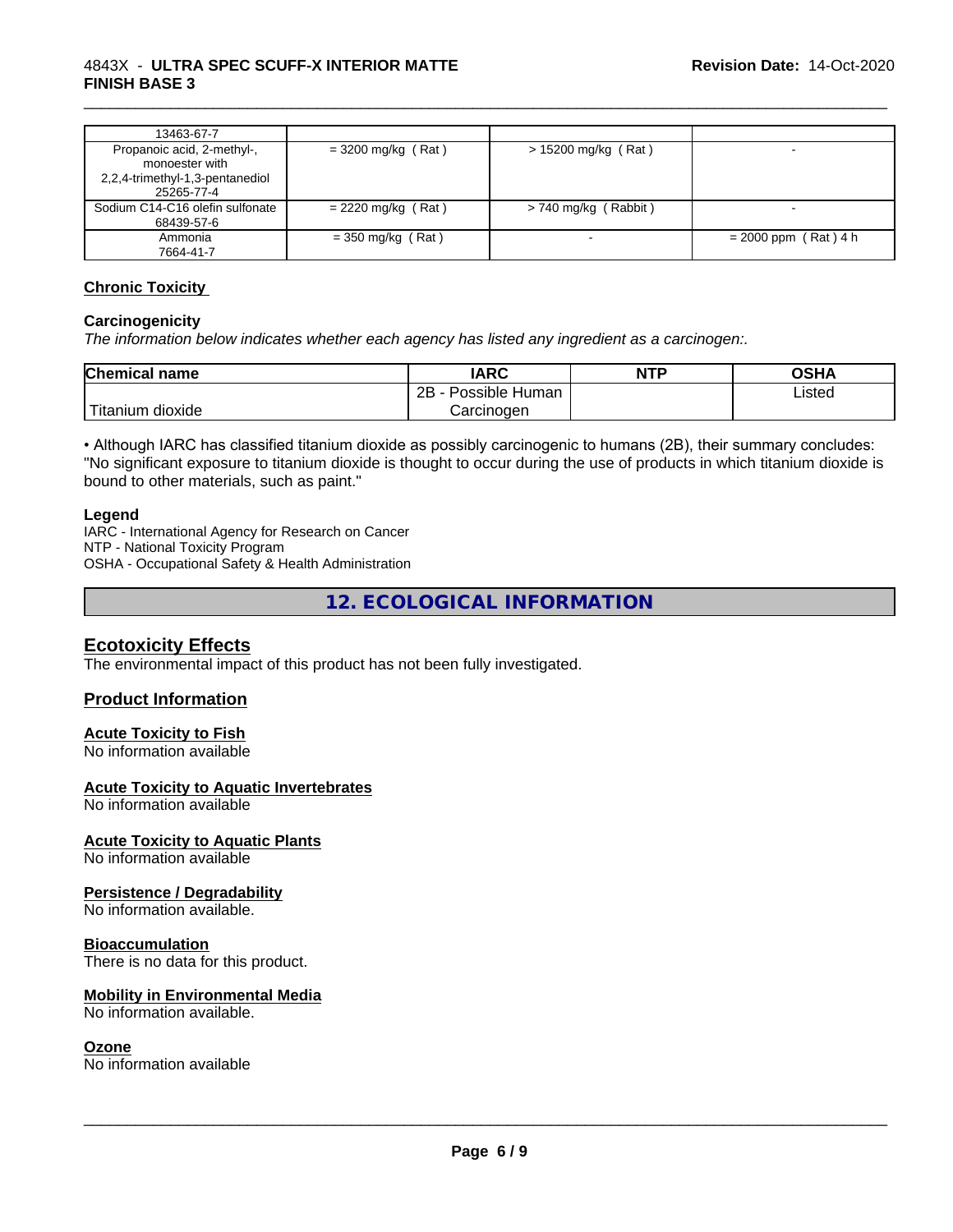#### 4843X - **ULTRA SPEC SCUFF-X INTERIOR MATTE FINISH BASE 3**

| 13463-67-7                                                                                    |                      |                        |                        |
|-----------------------------------------------------------------------------------------------|----------------------|------------------------|------------------------|
| Propanoic acid, 2-methyl-,<br>monoester with<br>2,2,4-trimethyl-1,3-pentanediol<br>25265-77-4 | $=$ 3200 mg/kg (Rat) | > 15200 mg/kg (Rat)    |                        |
| Sodium C14-C16 olefin sulfonate<br>68439-57-6                                                 | $= 2220$ mg/kg (Rat) | $> 740$ mg/kg (Rabbit) |                        |
| Ammonia<br>7664-41-7                                                                          | $=$ 350 mg/kg (Rat)  |                        | $= 2000$ ppm (Rat) 4 h |

\_\_\_\_\_\_\_\_\_\_\_\_\_\_\_\_\_\_\_\_\_\_\_\_\_\_\_\_\_\_\_\_\_\_\_\_\_\_\_\_\_\_\_\_\_\_\_\_\_\_\_\_\_\_\_\_\_\_\_\_\_\_\_\_\_\_\_\_\_\_\_\_\_\_\_\_\_\_\_\_\_\_\_\_\_\_\_\_\_\_\_\_\_

#### **Chronic Toxicity**

#### **Carcinogenicity**

*The information below indicateswhether each agency has listed any ingredient as a carcinogen:.*

| <b>Chemical name</b>          | <b>IARC</b>                    | <b>NTP</b> | <b>OSHA</b> |
|-------------------------------|--------------------------------|------------|-------------|
|                               | .<br>2Β<br>: Human<br>Possible |            | Listed      |
| .<br><br>. dioxide<br>itanium | Carcinogen                     |            |             |

• Although IARC has classified titanium dioxide as possibly carcinogenic to humans (2B), their summary concludes: "No significant exposure to titanium dioxide is thought to occur during the use of products in which titanium dioxide is bound to other materials, such as paint."

#### **Legend**

IARC - International Agency for Research on Cancer NTP - National Toxicity Program OSHA - Occupational Safety & Health Administration

**12. ECOLOGICAL INFORMATION**

#### **Ecotoxicity Effects**

The environmental impact of this product has not been fully investigated.

#### **Product Information**

#### **Acute Toxicity to Fish**

No information available

#### **Acute Toxicity to Aquatic Invertebrates**

No information available

#### **Acute Toxicity to Aquatic Plants**

No information available

#### **Persistence / Degradability**

No information available.

#### **Bioaccumulation**

There is no data for this product.

#### **Mobility in Environmental Media**

No information available.

#### **Ozone**

No information available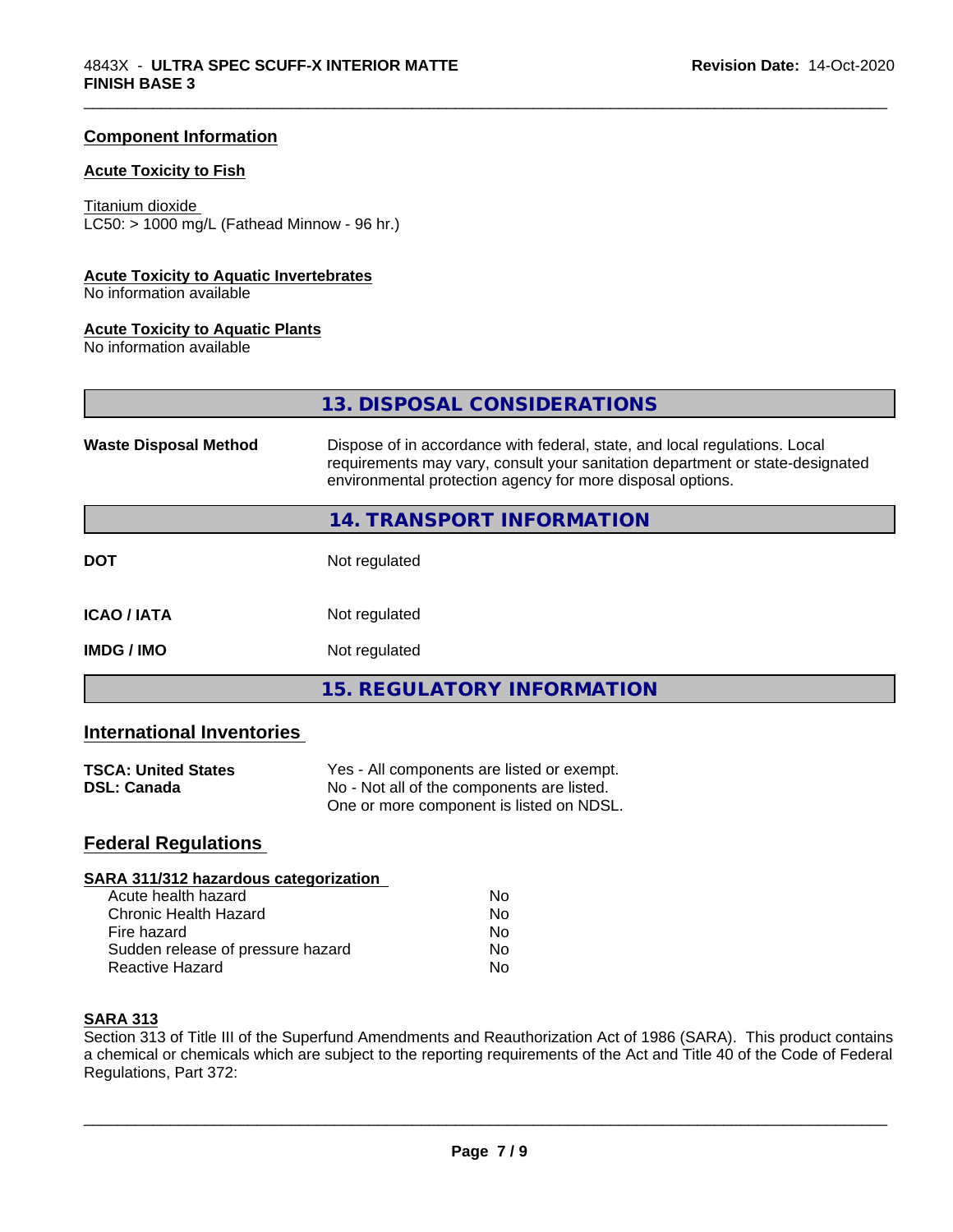#### **Component Information**

#### **Acute Toxicity to Fish**

#### Titanium dioxide

 $LC50: > 1000$  mg/L (Fathead Minnow - 96 hr.)

#### **Acute Toxicity to Aquatic Invertebrates**

No information available

#### **Acute Toxicity to Aquatic Plants**

No information available

**13. DISPOSAL CONSIDERATIONS**

\_\_\_\_\_\_\_\_\_\_\_\_\_\_\_\_\_\_\_\_\_\_\_\_\_\_\_\_\_\_\_\_\_\_\_\_\_\_\_\_\_\_\_\_\_\_\_\_\_\_\_\_\_\_\_\_\_\_\_\_\_\_\_\_\_\_\_\_\_\_\_\_\_\_\_\_\_\_\_\_\_\_\_\_\_\_\_\_\_\_\_\_\_

| <b>Waste Disposal Method</b>     | Dispose of in accordance with federal, state, and local regulations. Local<br>requirements may vary, consult your sanitation department or state-designated<br>environmental protection agency for more disposal options. |  |
|----------------------------------|---------------------------------------------------------------------------------------------------------------------------------------------------------------------------------------------------------------------------|--|
|                                  | 14. TRANSPORT INFORMATION                                                                                                                                                                                                 |  |
| <b>DOT</b>                       | Not regulated                                                                                                                                                                                                             |  |
| <b>ICAO/IATA</b>                 | Not regulated                                                                                                                                                                                                             |  |
| Not regulated<br><b>IMDG/IMO</b> |                                                                                                                                                                                                                           |  |
|                                  | <b>15. REGULATORY INFORMATION</b>                                                                                                                                                                                         |  |

#### **International Inventories**

| <b>TSCA: United States</b> | Yes - All components are listed or exempt. |
|----------------------------|--------------------------------------------|
| <b>DSL: Canada</b>         | No - Not all of the components are listed. |
|                            | One or more component is listed on NDSL.   |

### **Federal Regulations**

#### **SARA 311/312 hazardous categorization**

| Acute health hazard               | Nο |  |
|-----------------------------------|----|--|
| Chronic Health Hazard             | Nο |  |
| Fire hazard                       | Nο |  |
| Sudden release of pressure hazard | Nο |  |
| Reactive Hazard                   | N٥ |  |

#### **SARA 313**

Section 313 of Title III of the Superfund Amendments and Reauthorization Act of 1986 (SARA). This product contains a chemical or chemicals which are subject to the reporting requirements of the Act and Title 40 of the Code of Federal Regulations, Part 372: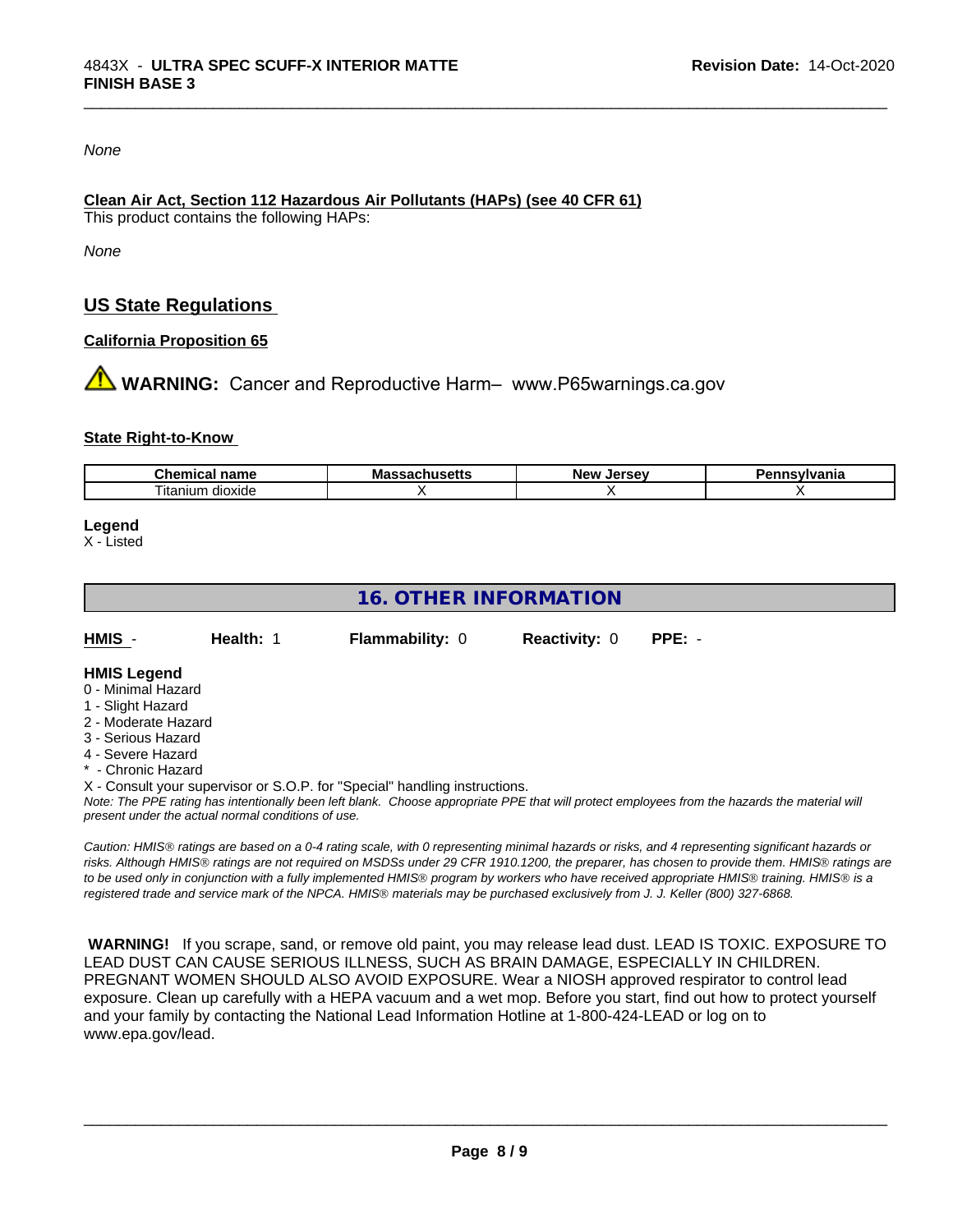#### *None*

#### **Clean Air Act,Section 112 Hazardous Air Pollutants (HAPs) (see 40 CFR 61)**

This product contains the following HAPs:

*None*

## **US State Regulations**

#### **California Proposition 65**

**AN** WARNING: Cancer and Reproductive Harm– www.P65warnings.ca.gov

#### **State Right-to-Know**

| наше                     | .NC |  |
|--------------------------|-----|--|
| ∣ıtar<br>dioxide<br>าเนท |     |  |

\_\_\_\_\_\_\_\_\_\_\_\_\_\_\_\_\_\_\_\_\_\_\_\_\_\_\_\_\_\_\_\_\_\_\_\_\_\_\_\_\_\_\_\_\_\_\_\_\_\_\_\_\_\_\_\_\_\_\_\_\_\_\_\_\_\_\_\_\_\_\_\_\_\_\_\_\_\_\_\_\_\_\_\_\_\_\_\_\_\_\_\_\_

#### **Legend**

X - Listed

## **16. OTHER INFORMATION**

| HMIS | Health: 1 | <b>Flammability: 0</b> | <b>Reactivity: 0</b> | PPE: - |
|------|-----------|------------------------|----------------------|--------|
|      |           |                        |                      |        |

#### **HMIS Legend**

- 0 Minimal Hazard
- 1 Slight Hazard
- 2 Moderate Hazard
- 3 Serious Hazard
- 4 Severe Hazard
- Chronic Hazard
- X Consult your supervisor or S.O.P. for "Special" handling instructions.

*Note: The PPE rating has intentionally been left blank. Choose appropriate PPE that will protect employees from the hazards the material will present under the actual normal conditions of use.*

*Caution: HMISÒ ratings are based on a 0-4 rating scale, with 0 representing minimal hazards or risks, and 4 representing significant hazards or risks. Although HMISÒ ratings are not required on MSDSs under 29 CFR 1910.1200, the preparer, has chosen to provide them. HMISÒ ratings are to be used only in conjunction with a fully implemented HMISÒ program by workers who have received appropriate HMISÒ training. HMISÒ is a registered trade and service mark of the NPCA. HMISÒ materials may be purchased exclusively from J. J. Keller (800) 327-6868.*

 **WARNING!** If you scrape, sand, or remove old paint, you may release lead dust. LEAD IS TOXIC. EXPOSURE TO LEAD DUST CAN CAUSE SERIOUS ILLNESS, SUCH AS BRAIN DAMAGE, ESPECIALLY IN CHILDREN. PREGNANT WOMEN SHOULD ALSO AVOID EXPOSURE.Wear a NIOSH approved respirator to control lead exposure. Clean up carefully with a HEPA vacuum and a wet mop. Before you start, find out how to protect yourself and your family by contacting the National Lead Information Hotline at 1-800-424-LEAD or log on to www.epa.gov/lead.